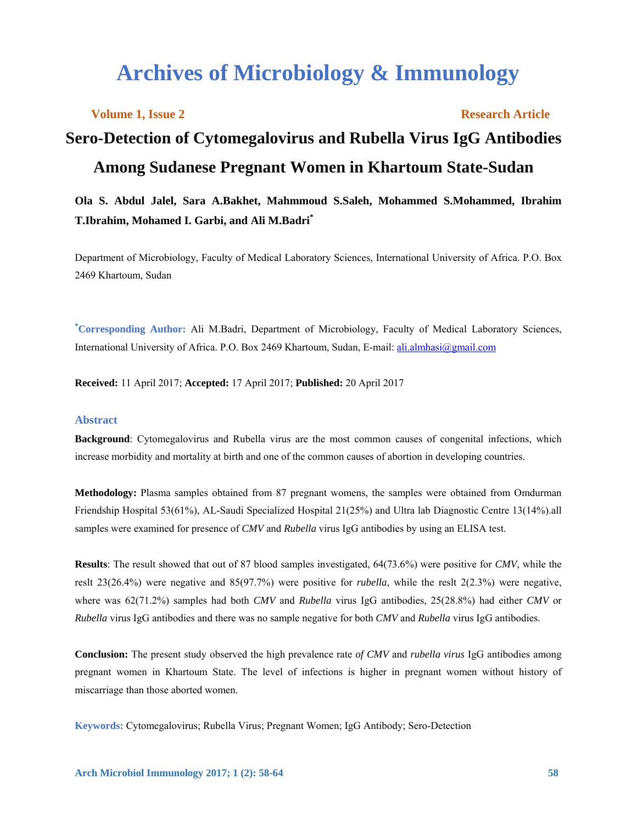# **Archives of Microbiology & Immunology**

**Volume 1, Issue 2** Research Article

# **Sero-Detection of Cytomegalovirus and Rubella Virus IgG Antibodies Among Sudanese Pregnant Women in Khartoum State-Sudan**

# **Ola S. Abdul Jalel, Sara A.Bakhet, Mahmmoud S.Saleh, Mohammed S.Mohammed, Ibrahim T.Ibrahim, Mohamed I. Garbi, and Ali M.Badri\***

Department of Microbiology, Faculty of Medical Laboratory Sciences, International University of Africa. P.O. Box 2469 Khartoum, Sudan

**\* Corresponding Author:** Ali M.Badri, Department of Microbiology, Faculty of Medical Laboratory Sciences, International University of Africa. P.O. Box 2469 Khartoum, Sudan, E-mail: ali.almhasi@gmail.com

**Received:** 11 April 2017; **Accepted:** 17 April 2017; **Published:** 20 April 2017

#### **Abstract**

**Background**: Cytomegalovirus and Rubella virus are the most common causes of congenital infections, which increase morbidity and mortality at birth and one of the common causes of abortion in developing countries.

**Methodology:** Plasma samples obtained from 87 pregnant womens, the samples were obtained from Omdurman Friendship Hospital 53(61%), AL-Saudi Specialized Hospital 21(25%) and Ultra lab Diagnostic Centre 13(14%).all samples were examined for presence of *CMV* and *Rubella* virus IgG antibodies by using an ELISA test.

**Results**: The result showed that out of 87 blood samples investigated, 64(73.6%) were positive for *CMV*, while the reslt 23(26.4%) were negative and 85(97.7%) were positive for *rubella*, while the reslt 2(2.3%) were negative, where was 62(71.2%) samples had both *CMV* and *Rubella* virus IgG antibodies, 25(28.8%) had either *CMV* or *Rubella* virus IgG antibodies and there was no sample negative for both *CMV* and *Rubella* virus IgG antibodies.

**Conclusion:** The present study observed the high prevalence rate *of CMV* and *rubella virus* IgG antibodies among pregnant women in Khartoum State. The level of infections is higher in pregnant women without history of miscarriage than those aborted women.

**Keywords:** Cytomegalovirus; Rubella Virus; Pregnant Women; IgG Antibody; Sero-Detection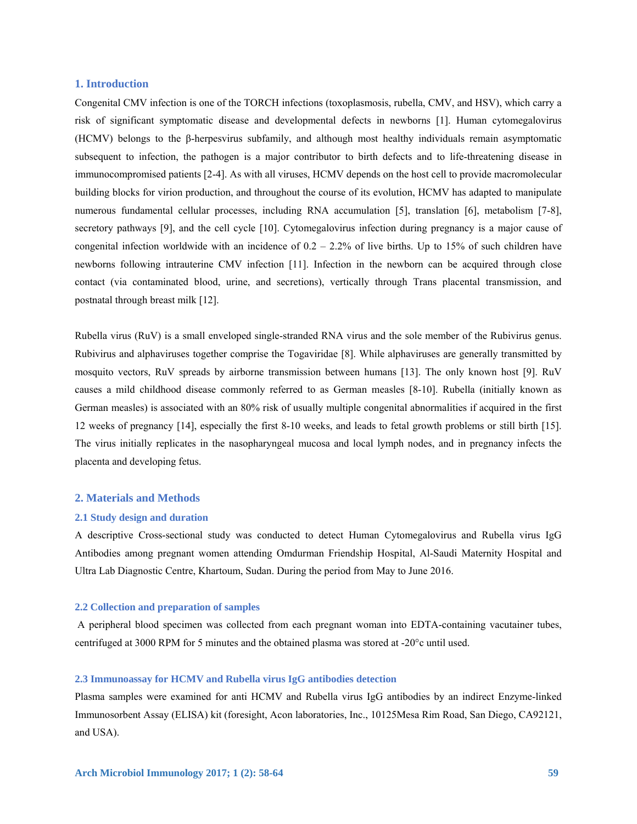#### **1. Introduction**

Congenital CMV infection is one of the TORCH infections (toxoplasmosis, rubella, CMV, and HSV), which carry a risk of significant symptomatic disease and developmental defects in newborns [1]. Human cytomegalovirus (HCMV) belongs to the β-herpesvirus subfamily, and although most healthy individuals remain asymptomatic subsequent to infection, the pathogen is a major contributor to birth defects and to life-threatening disease in immunocompromised patients [2-4]. As with all viruses, HCMV depends on the host cell to provide macromolecular building blocks for virion production, and throughout the course of its evolution, HCMV has adapted to manipulate numerous fundamental cellular processes, including RNA accumulation [5], translation [6], metabolism [7-8], secretory pathways [9], and the cell cycle [10]. Cytomegalovirus infection during pregnancy is a major cause of congenital infection worldwide with an incidence of 0.2 – 2.2% of live births. Up to 15% of such children have newborns following intrauterine CMV infection [11]. Infection in the newborn can be acquired through close contact (via contaminated blood, urine, and secretions), vertically through Trans placental transmission, and postnatal through breast milk [12].

Rubella virus (RuV) is a small enveloped single-stranded RNA virus and the sole member of the Rubivirus genus. Rubivirus and alphaviruses together comprise the Togaviridae [8]. While alphaviruses are generally transmitted by mosquito vectors, RuV spreads by airborne transmission between humans [13]. The only known host [9]. RuV causes a mild childhood disease commonly referred to as German measles [8-10]. Rubella (initially known as German measles) is associated with an 80% risk of usually multiple congenital abnormalities if acquired in the first 12 weeks of pregnancy [14], especially the first 8-10 weeks, and leads to fetal growth problems or still birth [15]. The virus initially replicates in the nasopharyngeal mucosa and local lymph nodes, and in pregnancy infects the placenta and developing fetus.

## **2. Materials and Methods**

#### **2.1 Study design and duration**

A descriptive Cross-sectional study was conducted to detect Human Cytomegalovirus and Rubella virus IgG Antibodies among pregnant women attending Omdurman Friendship Hospital, Al-Saudi Maternity Hospital and Ultra Lab Diagnostic Centre, Khartoum, Sudan. During the period from May to June 2016.

#### **2.2 Collection and preparation of samples**

 A peripheral blood specimen was collected from each pregnant woman into EDTA-containing vacutainer tubes, centrifuged at 3000 RPM for 5 minutes and the obtained plasma was stored at -20°c until used.

#### **2.3 Immunoassay for HCMV and Rubella virus IgG antibodies detection**

Plasma samples were examined for anti HCMV and Rubella virus IgG antibodies by an indirect Enzyme-linked Immunosorbent Assay (ELISA) kit (foresight, Acon laboratories, Inc., 10125Mesa Rim Road, San Diego, CA92121, and USA).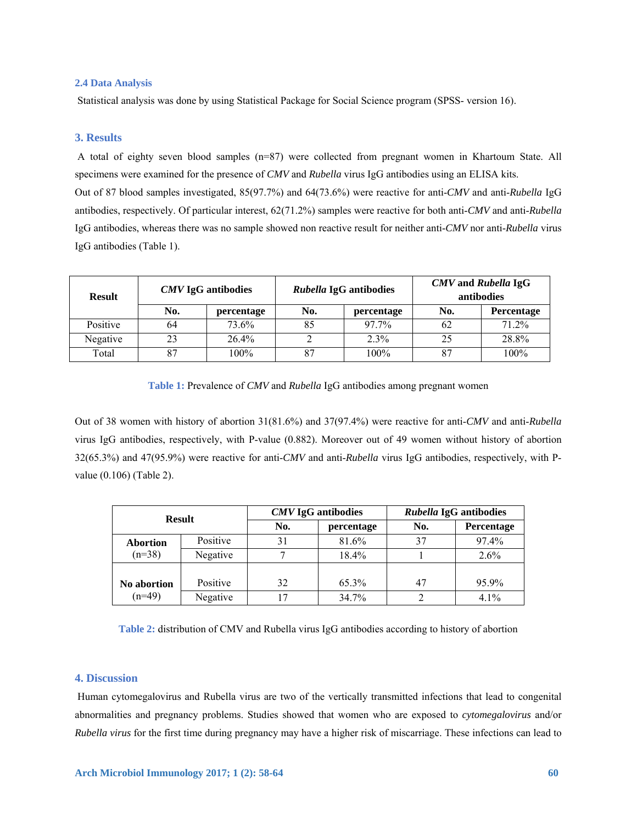### **2.4 Data Analysis**

Statistical analysis was done by using Statistical Package for Social Science program (SPSS- version 16).

# **3. Results**

 A total of eighty seven blood samples (n=87) were collected from pregnant women in Khartoum State. All specimens were examined for the presence of *CMV* and *Rubella* virus IgG antibodies using an ELISA kits. Out of 87 blood samples investigated, 85(97.7%) and 64(73.6%) were reactive for anti-*CMV* and anti-*Rubella* IgG antibodies, respectively. Of particular interest, 62(71.2%) samples were reactive for both anti-*CMV* and anti-*Rubella* IgG antibodies, whereas there was no sample showed non reactive result for neither anti-*CMV* nor anti-*Rubella* virus IgG antibodies (Table 1).

| <b>Result</b> | <b>CMV</b> IgG antibodies |            | Rubella IgG antibodies |            | <b>CMV</b> and Rubella IgG<br>antibodies |                   |
|---------------|---------------------------|------------|------------------------|------------|------------------------------------------|-------------------|
|               | No.                       | percentage | No.                    | percentage | No.                                      | <b>Percentage</b> |
| Positive      | 64                        | 73.6%      | 85                     | $97.7\%$   | 62                                       | 71.2%             |
| Negative      | 23                        | 26.4%      |                        | 2.3%       | 25                                       | 28.8%             |
| Total         | 87                        | 100%       |                        | 100%       | 87                                       | 100%              |

**Table 1:** Prevalence of *CMV* and *Rubella* IgG antibodies among pregnant women

Out of 38 women with history of abortion 31(81.6%) and 37(97.4%) were reactive for anti-*CMV* and anti-*Rubella*  virus IgG antibodies, respectively, with P-value (0.882). Moreover out of 49 women without history of abortion 32(65.3%) and 47(95.9%) were reactive for anti-*CMV* and anti-*Rubella* virus IgG antibodies, respectively, with Pvalue (0.106) (Table 2).

| <b>Result</b>               |          |     | <b>CMV</b> IgG antibodies | Rubella IgG antibodies |            |
|-----------------------------|----------|-----|---------------------------|------------------------|------------|
|                             |          | No. | percentage                | No.                    | Percentage |
| <b>Abortion</b><br>$(n=38)$ | Positive | 31  | 81.6%                     | 37                     | 97.4%      |
|                             | Negative |     | 18.4%                     |                        | 2.6%       |
|                             |          |     |                           |                        |            |
| No abortion<br>$(n=49)$     | Positive | 32  | 65.3%                     | 47                     | 95.9%      |
|                             | Negative | 17  | 34.7%                     |                        | 4.1%       |

**Table 2:** distribution of CMV and Rubella virus IgG antibodies according to history of abortion

# **4. Discussion**

 Human cytomegalovirus and Rubella virus are two of the vertically transmitted infections that lead to congenital abnormalities and pregnancy problems. Studies showed that women who are exposed to *cytomegalovirus* and/or *Rubella virus* for the first time during pregnancy may have a higher risk of miscarriage. These infections can lead to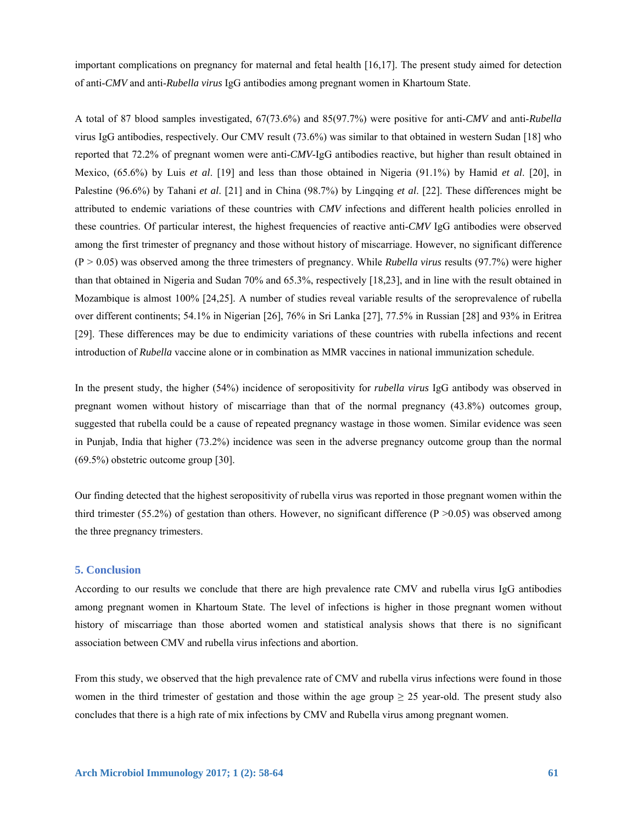important complications on pregnancy for maternal and fetal health [16,17]. The present study aimed for detection of anti-*CMV* and anti-*Rubella virus* IgG antibodies among pregnant women in Khartoum State.

A total of 87 blood samples investigated, 67(73.6%) and 85(97.7%) were positive for anti-*CMV* and anti-*Rubella*  virus IgG antibodies, respectively. Our CMV result (73.6%) was similar to that obtained in western Sudan [18] who reported that 72.2% of pregnant women were anti-*CMV*-IgG antibodies reactive, but higher than result obtained in Mexico, (65.6%) by Luis *et al*. [19] and less than those obtained in Nigeria (91.1%) by Hamid *et al*. [20], in Palestine (96.6%) by Tahani *et al*. [21] and in China (98.7%) by Lingqing *et al*. [22]. These differences might be attributed to endemic variations of these countries with *CMV* infections and different health policies enrolled in these countries. Of particular interest, the highest frequencies of reactive anti-*CMV* IgG antibodies were observed among the first trimester of pregnancy and those without history of miscarriage. However, no significant difference (P > 0.05) was observed among the three trimesters of pregnancy. While *Rubella virus* results (97.7%) were higher than that obtained in Nigeria and Sudan 70% and 65.3%, respectively [18,23], and in line with the result obtained in Mozambique is almost 100% [24,25]. A number of studies reveal variable results of the seroprevalence of rubella over different continents; 54.1% in Nigerian [26], 76% in Sri Lanka [27], 77.5% in Russian [28] and 93% in Eritrea [29]. These differences may be due to endimicity variations of these countries with rubella infections and recent introduction of *Rubella* vaccine alone or in combination as MMR vaccines in national immunization schedule.

In the present study, the higher (54%) incidence of seropositivity for *rubella virus* IgG antibody was observed in pregnant women without history of miscarriage than that of the normal pregnancy (43.8%) outcomes group, suggested that rubella could be a cause of repeated pregnancy wastage in those women. Similar evidence was seen in Punjab, India that higher (73.2%) incidence was seen in the adverse pregnancy outcome group than the normal (69.5%) obstetric outcome group [30].

Our finding detected that the highest seropositivity of rubella virus was reported in those pregnant women within the third trimester (55.2%) of gestation than others. However, no significant difference (P  $>0.05$ ) was observed among the three pregnancy trimesters.

### **5. Conclusion**

According to our results we conclude that there are high prevalence rate CMV and rubella virus IgG antibodies among pregnant women in Khartoum State. The level of infections is higher in those pregnant women without history of miscarriage than those aborted women and statistical analysis shows that there is no significant association between CMV and rubella virus infections and abortion.

From this study, we observed that the high prevalence rate of CMV and rubella virus infections were found in those women in the third trimester of gestation and those within the age group  $\geq$  25 year-old. The present study also concludes that there is a high rate of mix infections by CMV and Rubella virus among pregnant women.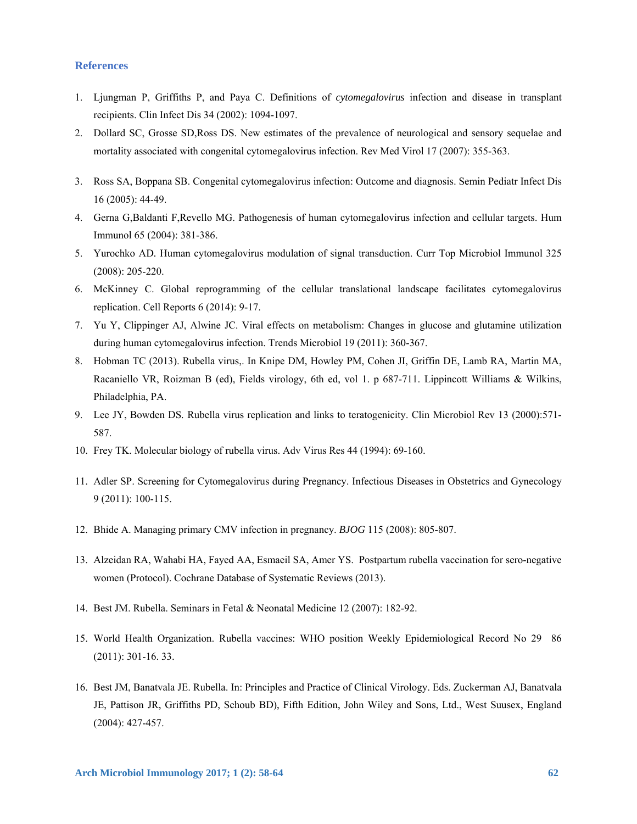# **References**

- 1. Ljungman P, Griffiths P, and Paya C. Definitions of *cytomegalovirus* infection and disease in transplant recipients. Clin Infect Dis 34 (2002): 1094-1097.
- 2. Dollard SC, Grosse SD,Ross DS. New estimates of the prevalence of neurological and sensory sequelae and mortality associated with congenital cytomegalovirus infection. Rev Med Virol 17 (2007): 355-363.
- 3. Ross SA, Boppana SB. Congenital cytomegalovirus infection: Outcome and diagnosis. Semin Pediatr Infect Dis 16 (2005): 44-49.
- 4. Gerna G,Baldanti F,Revello MG. Pathogenesis of human cytomegalovirus infection and cellular targets. Hum Immunol 65 (2004): 381-386.
- 5. Yurochko AD*.* Human cytomegalovirus modulation of signal transduction. Curr Top Microbiol Immunol 325 (2008): 205-220.
- 6. McKinney C. Global reprogramming of the cellular translational landscape facilitates cytomegalovirus replication. Cell Reports 6 (2014): 9-17.
- 7. Yu Y, Clippinger AJ, Alwine JC. Viral effects on metabolism: Changes in glucose and glutamine utilization during human cytomegalovirus infection. Trends Microbiol 19 (2011): 360-367.
- 8. Hobman TC (2013). Rubella virus,. In Knipe DM, Howley PM, Cohen JI, Griffin DE, Lamb RA, Martin MA, Racaniello VR, Roizman B (ed), Fields virology, 6th ed, vol 1. p 687-711. Lippincott Williams & Wilkins, Philadelphia, PA.
- 9. Lee JY, Bowden DS*.* Rubella virus replication and links to teratogenicity. Clin Microbiol Rev 13 (2000):571- 587.
- 10. Frey TK. Molecular biology of rubella virus. Adv Virus Res 44 (1994): 69-160.
- 11. Adler SP. Screening for Cytomegalovirus during Pregnancy. Infectious Diseases in Obstetrics and Gynecology 9 (2011): 100-115.
- 12. Bhide A. Managing primary CMV infection in pregnancy. *BJOG* 115 (2008): 805-807.
- 13. Alzeidan RA, Wahabi HA, Fayed AA, Esmaeil SA, Amer YS. Postpartum rubella vaccination for sero-negative women (Protocol). Cochrane Database of Systematic Reviews (2013).
- 14. Best JM. Rubella. Seminars in Fetal & Neonatal Medicine 12 (2007): 182-92.
- 15. World Health Organization. Rubella vaccines: WHO position Weekly Epidemiological Record No 29 86 (2011): 301-16. 33.
- 16. Best JM, Banatvala JE. Rubella. In: Principles and Practice of Clinical Virology. Eds. Zuckerman AJ, Banatvala JE, Pattison JR, Griffiths PD, Schoub BD), Fifth Edition, John Wiley and Sons, Ltd., West Suusex, England (2004): 427-457.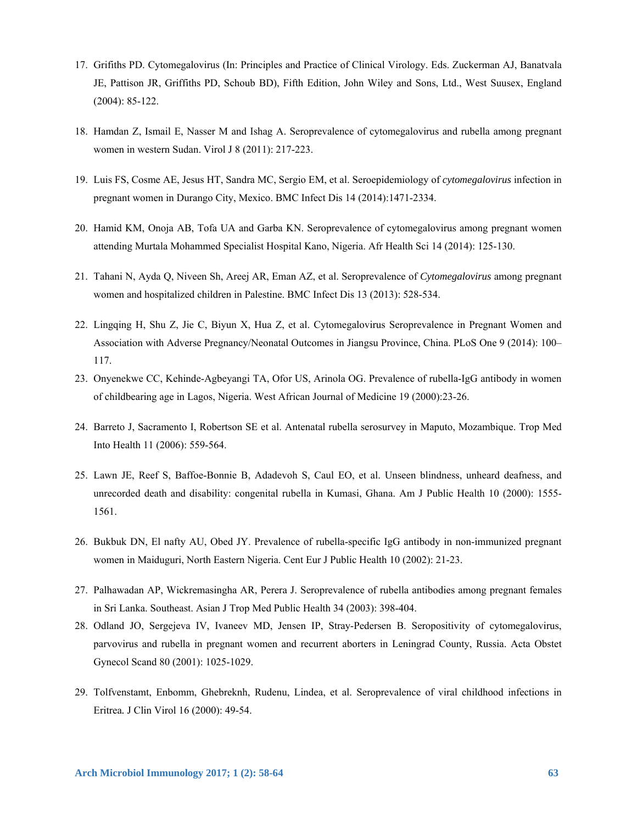- 17. Grifiths PD. Cytomegalovirus (In: Principles and Practice of Clinical Virology. Eds. Zuckerman AJ, Banatvala JE, Pattison JR, Griffiths PD, Schoub BD), Fifth Edition, John Wiley and Sons, Ltd., West Suusex, England (2004): 85-122.
- 18. Hamdan Z, Ismail E, Nasser M and Ishag A. Seroprevalence of cytomegalovirus and rubella among pregnant women in western Sudan. Virol J 8 (2011): 217-223.
- 19. Luis FS, Cosme AE, Jesus HT, Sandra MC, Sergio EM, et al. Seroepidemiology of *cytomegalovirus* infection in pregnant women in Durango City, Mexico. BMC Infect Dis 14 (2014):1471-2334.
- 20. Hamid KM, Onoja AB, Tofa UA and Garba KN. Seroprevalence of cytomegalovirus among pregnant women attending Murtala Mohammed Specialist Hospital Kano, Nigeria. Afr Health Sci 14 (2014): 125-130.
- 21. Tahani N, Ayda Q, Niveen Sh, Areej AR, Eman AZ, et al. Seroprevalence of *Cytomegalovirus* among pregnant women and hospitalized children in Palestine. BMC Infect Dis 13 (2013): 528-534.
- 22. Lingqing H, Shu Z, Jie C, Biyun X, Hua Z, et al. Cytomegalovirus Seroprevalence in Pregnant Women and Association with Adverse Pregnancy/Neonatal Outcomes in Jiangsu Province, China. PLoS One 9 (2014): 100– 117.
- 23. Onyenekwe CC, Kehinde-Agbeyangi TA, Ofor US, Arinola OG. Prevalence of rubella-IgG antibody in women of childbearing age in Lagos, Nigeria. West African Journal of Medicine 19 (2000):23-26.
- 24. Barreto J, Sacramento I, Robertson SE et al. Antenatal rubella serosurvey in Maputo, Mozambique. Trop Med Into Health 11 (2006): 559-564.
- 25. Lawn JE, Reef S, Baffoe-Bonnie B, Adadevoh S, Caul EO, et al. Unseen blindness, unheard deafness, and unrecorded death and disability: congenital rubella in Kumasi, Ghana. Am J Public Health 10 (2000): 1555- 1561.
- 26. Bukbuk DN, El nafty AU, Obed JY. Prevalence of rubella-specific IgG antibody in non-immunized pregnant women in Maiduguri, North Eastern Nigeria. Cent Eur J Public Health 10 (2002): 21-23.
- 27. Palhawadan AP, Wickremasingha AR, Perera J. Seroprevalence of rubella antibodies among pregnant females in Sri Lanka. Southeast. Asian J Trop Med Public Health 34 (2003): 398-404.
- 28. Odland JO, Sergejeva IV, Ivaneev MD, Jensen IP, Stray-Pedersen B. Seropositivity of cytomegalovirus, parvovirus and rubella in pregnant women and recurrent aborters in Leningrad County, Russia. Acta Obstet Gynecol Scand 80 (2001): 1025-1029.
- 29. Tolfvenstamt, Enbomm, Ghebreknh, Rudenu, Lindea, et al. Seroprevalence of viral childhood infections in Eritrea*.* J Clin Virol 16 (2000): 49-54.